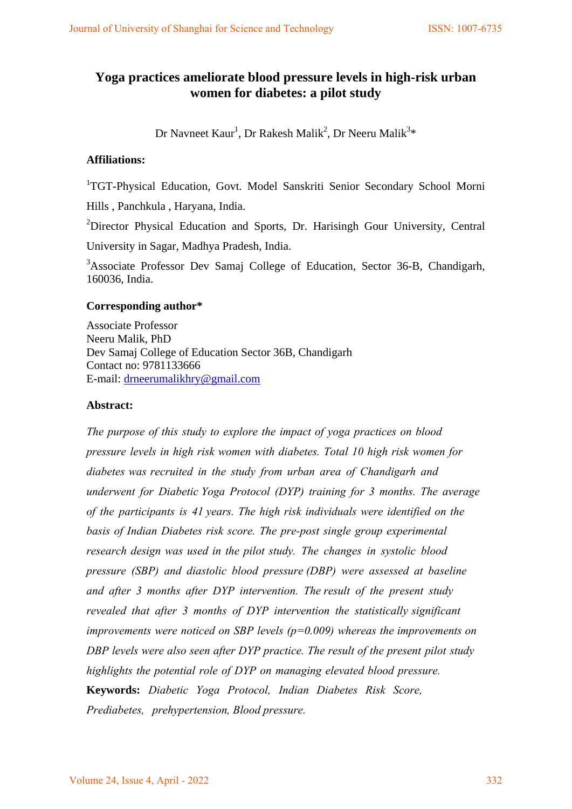# **Yoga practices ameliorate blood pressure levels in high-risk urban women for diabetes: a pilot study**

Dr Navneet Kaur $^{\rm l}$ , Dr Rakesh Malik $^{\rm 2}$ , Dr Neeru Malik $^{\rm 3*}$ 

### **Affiliations:**

<sup>1</sup>TGT-Physical Education, Govt. Model Sanskriti Senior Secondary School Morni

Hills , Panchkula , Haryana, India.

<sup>2</sup>Director Physical Education and Sports, Dr. Harisingh Gour University, Central

University in Sagar, Madhya Pradesh, India.

<sup>3</sup>Associate Professor Dev Samaj College of Education, Sector 36-B, Chandigarh, 160036, India.

### **Corresponding author\***

Associate Professor Neeru Malik, PhD Dev Samaj College of Education Sector 36B, Chandigarh Contact no: 9781133666 E-mail: [drneerumalikhry@gmail.com](mailto:drneerumalikhry@gmail.com)

### **Abstract:**

*The purpose of this study to explore the impact of yoga practices on blood pressure levels in high risk women with diabetes. Total 10 high risk women for diabetes was recruited in the study from urban area of Chandigarh and underwent for Diabetic Yoga Protocol (DYP) training for 3 months. The average of the participants is 41 years. The high risk individuals were identified on the basis of Indian Diabetes risk score. The pre-post single group experimental research design was used in the pilot study. The changes in systolic blood pressure (SBP) and diastolic blood pressure (DBP) were assessed at baseline and after 3 months after DYP intervention. The result of the present study revealed that after 3 months of DYP intervention the statistically significant improvements were noticed on SBP levels (p=0.009) whereas the improvements on DBP levels were also seen after DYP practice. The result of the present pilot study highlights the potential role of DYP on managing elevated blood pressure.* **Keywords:** *Diabetic Yoga Protocol, Indian Diabetes Risk Score, Prediabetes, prehypertension, Blood pressure.*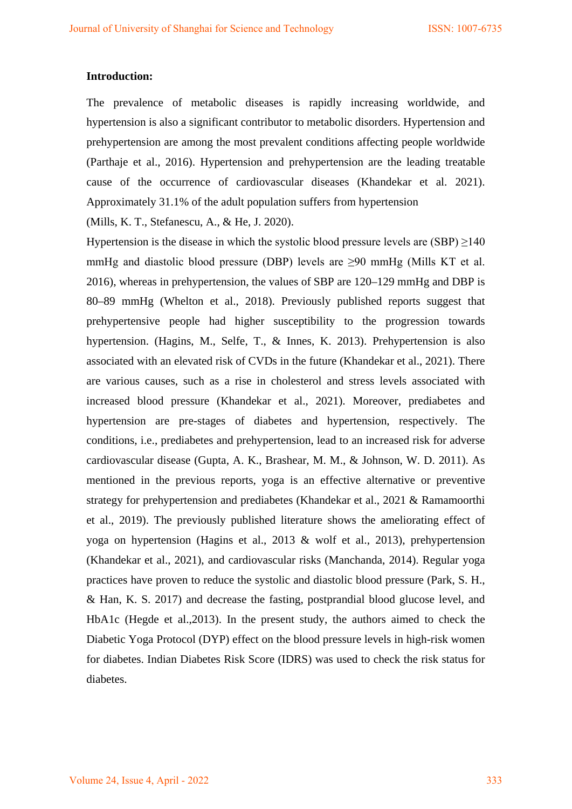#### **Introduction:**

The prevalence of metabolic diseases is rapidly increasing worldwide, and hypertension is also a significant contributor to metabolic disorders. Hypertension and prehypertension are among the most prevalent conditions affecting people worldwide (Parthaje et al., 2016). Hypertension and prehypertension are the leading treatable cause of the occurrence of cardiovascular diseases (Khandekar et al. 2021). Approximately 31.1% of the adult population suffers from hypertension

(Mills, K. T., Stefanescu, A., & He, J. 2020).

Hypertension is the disease in which the systolic blood pressure levels are  $(SBP) \ge 140$ mmHg and diastolic blood pressure (DBP) levels are  $\geq 90$  mmHg (Mills KT et al. 2016), whereas in prehypertension, the values of SBP are 120–129 mmHg and DBP is 80–89 mmHg (Whelton et al., 2018). Previously published reports suggest that prehypertensive people had higher susceptibility to the progression towards hypertension. (Hagins, M., Selfe, T., & Innes, K. 2013). Prehypertension is also associated with an elevated risk of CVDs in the future (Khandekar et al., 2021). There are various causes, such as a rise in cholesterol and stress levels associated with increased blood pressure (Khandekar et al., 2021). Moreover, prediabetes and hypertension are pre-stages of diabetes and hypertension, respectively. The conditions, i.e., prediabetes and prehypertension, lead to an increased risk for adverse cardiovascular disease (Gupta, A. K., Brashear, M. M., & Johnson, W. D. 2011). As mentioned in the previous reports, yoga is an effective alternative or preventive strategy for prehypertension and prediabetes (Khandekar et al., 2021 & Ramamoorthi et al., 2019). The previously published literature shows the ameliorating effect of yoga on hypertension (Hagins et al., 2013 & wolf et al., 2013), prehypertension (Khandekar et al., 2021), and cardiovascular risks (Manchanda, 2014). Regular yoga practices have proven to reduce the systolic and diastolic blood pressure (Park, S. H., & Han, K. S. 2017) and decrease the fasting, postprandial blood glucose level, and HbA1c (Hegde et al.,2013). In the present study, the authors aimed to check the Diabetic Yoga Protocol (DYP) effect on the blood pressure levels in high-risk women for diabetes. Indian Diabetes Risk Score (IDRS) was used to check the risk status for diabetes.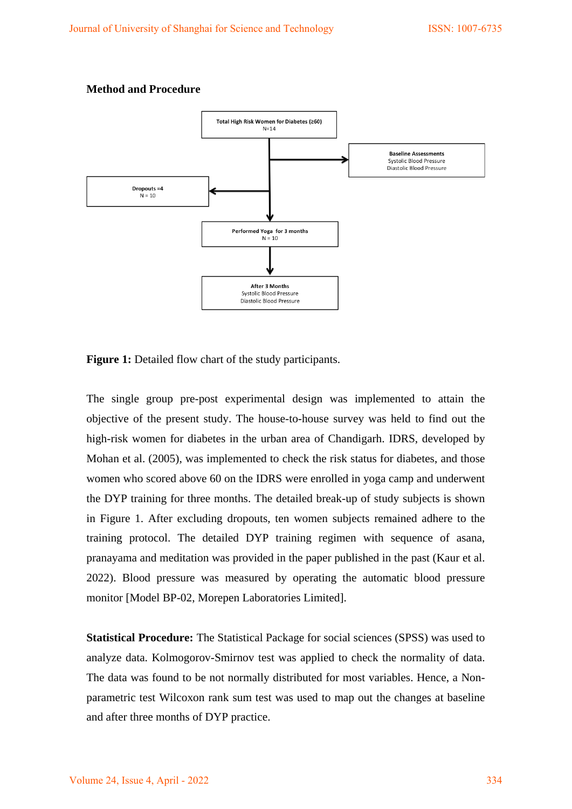#### **Method and Procedure**



**Figure 1:** Detailed flow chart of the study participants.

The single group pre-post experimental design was implemented to attain the objective of the present study. The house-to-house survey was held to find out the high-risk women for diabetes in the urban area of Chandigarh. IDRS, developed by Mohan et al. (2005), was implemented to check the risk status for diabetes, and those women who scored above 60 on the IDRS were enrolled in yoga camp and underwent the DYP training for three months. The detailed break-up of study subjects is shown in Figure 1. After excluding dropouts, ten women subjects remained adhere to the training protocol. The detailed DYP training regimen with sequence of asana, pranayama and meditation was provided in the paper published in the past (Kaur et al. 2022). Blood pressure was measured by operating the automatic blood pressure monitor [Model BP-02, Morepen Laboratories Limited].

**Statistical Procedure:** The Statistical Package for social sciences (SPSS) was used to analyze data. Kolmogorov-Smirnov test was applied to check the normality of data. The data was found to be not normally distributed for most variables. Hence, a Nonparametric test Wilcoxon rank sum test was used to map out the changes at baseline and after three months of DYP practice.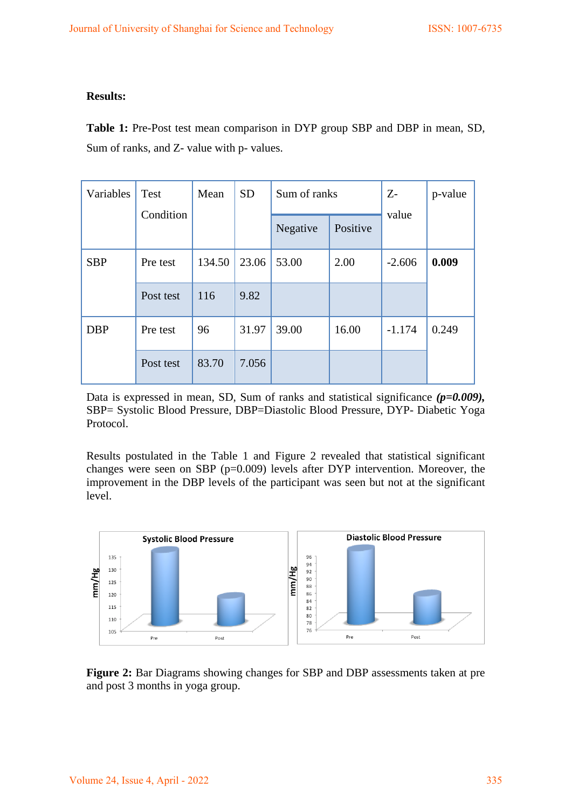### **Results:**

**Table 1:** Pre-Post test mean comparison in DYP group SBP and DBP in mean, SD, Sum of ranks, and Z- value with p- values.

| Variables  | Test      | <b>SD</b><br>Sum of ranks<br>Mean |       |          | $Z-$     | p-value  |       |
|------------|-----------|-----------------------------------|-------|----------|----------|----------|-------|
|            | Condition |                                   |       | Negative | Positive | value    |       |
| <b>SBP</b> | Pre test  | 134.50                            | 23.06 | 53.00    | 2.00     | $-2.606$ | 0.009 |
|            | Post test | 116                               | 9.82  |          |          |          |       |
| <b>DBP</b> | Pre test  | 96                                | 31.97 | 39.00    | 16.00    | $-1.174$ | 0.249 |
|            | Post test | 83.70                             | 7.056 |          |          |          |       |

Data is expressed in mean, SD, Sum of ranks and statistical significance ( $p=0.009$ ), SBP= Systolic Blood Pressure, DBP=Diastolic Blood Pressure, DYP- Diabetic Yoga Protocol.

Results postulated in the Table 1 and Figure 2 revealed that statistical significant changes were seen on SBP ( $p=0.009$ ) levels after DYP intervention. Moreover, the improvement in the DBP levels of the participant was seen but not at the significant level.



**Figure 2:** Bar Diagrams showing changes for SBP and DBP assessments taken at pre and post 3 months in yoga group.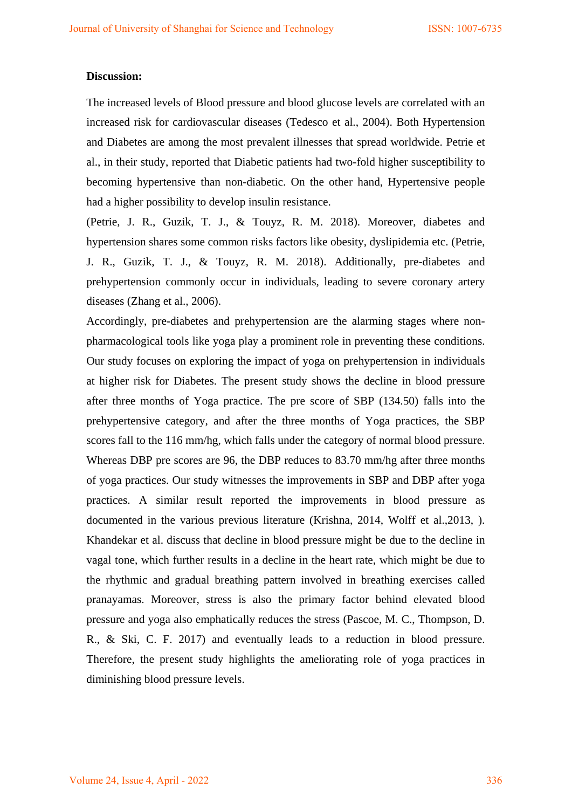#### **Discussion:**

The increased levels of Blood pressure and blood glucose levels are correlated with an increased risk for cardiovascular diseases (Tedesco et al., 2004). Both Hypertension and Diabetes are among the most prevalent illnesses that spread worldwide. Petrie et al., in their study, reported that Diabetic patients had two-fold higher susceptibility to becoming hypertensive than non-diabetic. On the other hand, Hypertensive people had a higher possibility to develop insulin resistance.

(Petrie, J. R., Guzik, T. J., & Touyz, R. M. 2018). Moreover, diabetes and hypertension shares some common risks factors like obesity, dyslipidemia etc. (Petrie, J. R., Guzik, T. J., & Touyz, R. M. 2018). Additionally, pre-diabetes and prehypertension commonly occur in individuals, leading to severe coronary artery diseases (Zhang et al., 2006).

Accordingly, pre-diabetes and prehypertension are the alarming stages where nonpharmacological tools like yoga play a prominent role in preventing these conditions. Our study focuses on exploring the impact of yoga on prehypertension in individuals at higher risk for Diabetes. The present study shows the decline in blood pressure after three months of Yoga practice. The pre score of SBP (134.50) falls into the prehypertensive category, and after the three months of Yoga practices, the SBP scores fall to the 116 mm/hg, which falls under the category of normal blood pressure. Whereas DBP pre scores are 96, the DBP reduces to 83.70 mm/hg after three months of yoga practices. Our study witnesses the improvements in SBP and DBP after yoga practices. A similar result reported the improvements in blood pressure as documented in the various previous literature (Krishna, 2014, Wolff et al.,2013, ). Khandekar et al. discuss that decline in blood pressure might be due to the decline in vagal tone, which further results in a decline in the heart rate, which might be due to the rhythmic and gradual breathing pattern involved in breathing exercises called pranayamas. Moreover, stress is also the primary factor behind elevated blood pressure and yoga also emphatically reduces the stress (Pascoe, M. C., Thompson, D. R., & Ski, C. F. 2017) and eventually leads to a reduction in blood pressure. Therefore, the present study highlights the ameliorating role of yoga practices in diminishing blood pressure levels.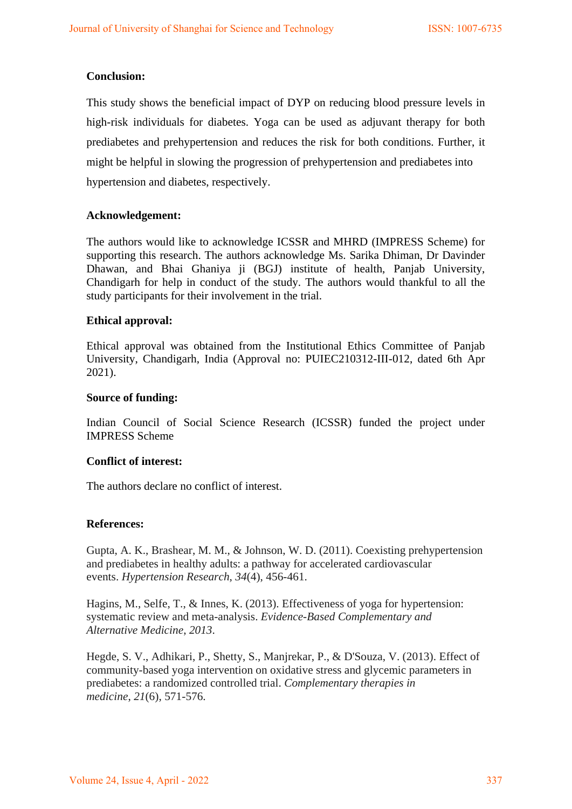## **Conclusion:**

This study shows the beneficial impact of DYP on reducing blood pressure levels in high-risk individuals for diabetes. Yoga can be used as adjuvant therapy for both prediabetes and prehypertension and reduces the risk for both conditions. Further, it might be helpful in slowing the progression of prehypertension and prediabetes into hypertension and diabetes, respectively.

### **Acknowledgement:**

The authors would like to acknowledge ICSSR and MHRD (IMPRESS Scheme) for supporting this research. The authors acknowledge Ms. Sarika Dhiman, Dr Davinder Dhawan, and Bhai Ghaniya ji (BGJ) institute of health, Panjab University, Chandigarh for help in conduct of the study. The authors would thankful to all the study participants for their involvement in the trial.

### **Ethical approval:**

Ethical approval was obtained from the Institutional Ethics Committee of Panjab University, Chandigarh, India (Approval no: PUIEC210312-III-012, dated 6th Apr 2021).

### **Source of funding:**

Indian Council of Social Science Research (ICSSR) funded the project under IMPRESS Scheme

### **Conflict of interest:**

The authors declare no conflict of interest.

### **References:**

Gupta, A. K., Brashear, M. M., & Johnson, W. D. (2011). Coexisting prehypertension and prediabetes in healthy adults: a pathway for accelerated cardiovascular events. *Hypertension Research*, *34*(4), 456-461.

Hagins, M., Selfe, T., & Innes, K. (2013). Effectiveness of yoga for hypertension: systematic review and meta-analysis. *Evidence-Based Complementary and Alternative Medicine*, *2013*.

Hegde, S. V., Adhikari, P., Shetty, S., Manjrekar, P., & D'Souza, V. (2013). Effect of community-based yoga intervention on oxidative stress and glycemic parameters in prediabetes: a randomized controlled trial. *Complementary therapies in medicine*, *21*(6), 571-576.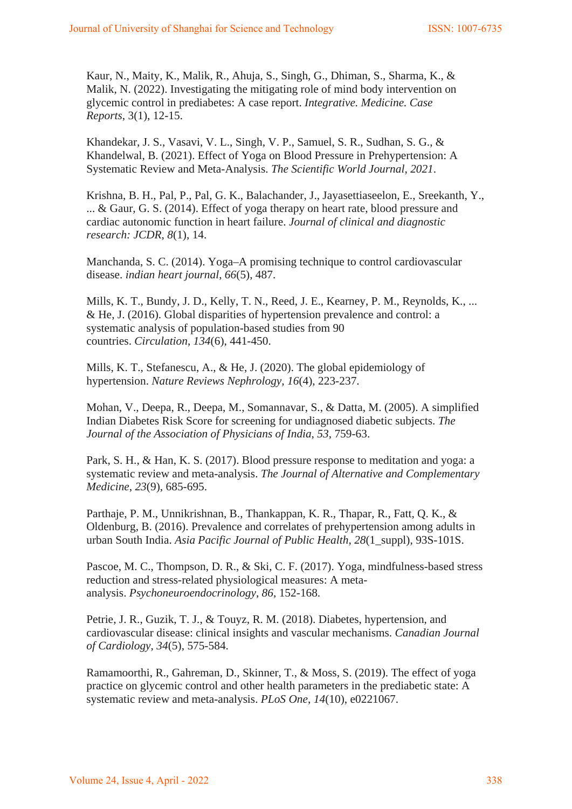Kaur, N., Maity, K., Malik, R., Ahuja, S., Singh, G., Dhiman, S., Sharma, K., & Malik, N. (2022). Investigating the mitigating role of mind body intervention on glycemic control in prediabetes: A case report. *Integrative. Medicine. Case Reports*, 3(1), 12-15.

Khandekar, J. S., Vasavi, V. L., Singh, V. P., Samuel, S. R., Sudhan, S. G., & Khandelwal, B. (2021). Effect of Yoga on Blood Pressure in Prehypertension: A Systematic Review and Meta-Analysis. *The Scientific World Journal*, *2021*.

Krishna, B. H., Pal, P., Pal, G. K., Balachander, J., Jayasettiaseelon, E., Sreekanth, Y., ... & Gaur, G. S. (2014). Effect of yoga therapy on heart rate, blood pressure and cardiac autonomic function in heart failure. *Journal of clinical and diagnostic research: JCDR*, *8*(1), 14.

Manchanda, S. C. (2014). Yoga–A promising technique to control cardiovascular disease. *indian heart journal*, *66*(5), 487.

Mills, K. T., Bundy, J. D., Kelly, T. N., Reed, J. E., Kearney, P. M., Reynolds, K., ... & He, J. (2016). Global disparities of hypertension prevalence and control: a systematic analysis of population-based studies from 90 countries. *Circulation*, *134*(6), 441-450.

Mills, K. T., Stefanescu, A., & He, J. (2020). The global epidemiology of hypertension. *Nature Reviews Nephrology*, *16*(4), 223-237.

Mohan, V., Deepa, R., Deepa, M., Somannavar, S., & Datta, M. (2005). A simplified Indian Diabetes Risk Score for screening for undiagnosed diabetic subjects. *The Journal of the Association of Physicians of India*, *53*, 759-63.

Park, S. H., & Han, K. S. (2017). Blood pressure response to meditation and yoga: a systematic review and meta-analysis. *The Journal of Alternative and Complementary Medicine*, *23*(9), 685-695.

Parthaje, P. M., Unnikrishnan, B., Thankappan, K. R., Thapar, R., Fatt, Q. K., & Oldenburg, B. (2016). Prevalence and correlates of prehypertension among adults in urban South India. *Asia Pacific Journal of Public Health*, *28*(1\_suppl), 93S-101S.

Pascoe, M. C., Thompson, D. R., & Ski, C. F. (2017). Yoga, mindfulness-based stress reduction and stress-related physiological measures: A metaanalysis. *Psychoneuroendocrinology*, *86*, 152-168.

Petrie, J. R., Guzik, T. J., & Touyz, R. M. (2018). Diabetes, hypertension, and cardiovascular disease: clinical insights and vascular mechanisms. *Canadian Journal of Cardiology*, *34*(5), 575-584.

Ramamoorthi, R., Gahreman, D., Skinner, T., & Moss, S. (2019). The effect of yoga practice on glycemic control and other health parameters in the prediabetic state: A systematic review and meta-analysis. *PLoS One*, *14*(10), e0221067.